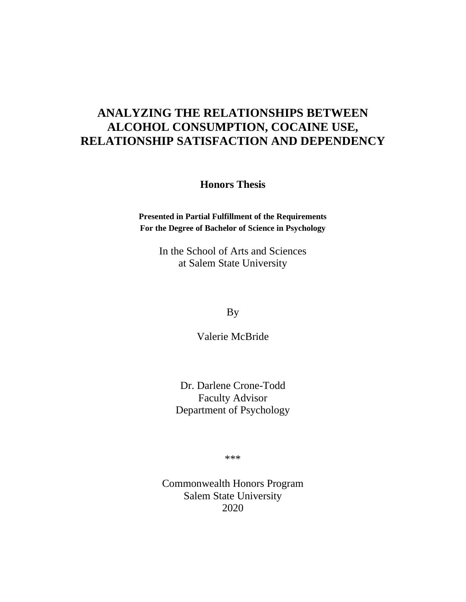# **ANALYZING THE RELATIONSHIPS BETWEEN ALCOHOL CONSUMPTION, COCAINE USE, RELATIONSHIP SATISFACTION AND DEPENDENCY**

**Honors Thesis**

**Presented in Partial Fulfillment of the Requirements For the Degree of Bachelor of Science in Psychology**

> In the School of Arts and Sciences at Salem State University

> > By

Valerie McBride

Dr. Darlene Crone-Todd Faculty Advisor Department of Psychology

\*\*\*

Commonwealth Honors Program Salem State University 2020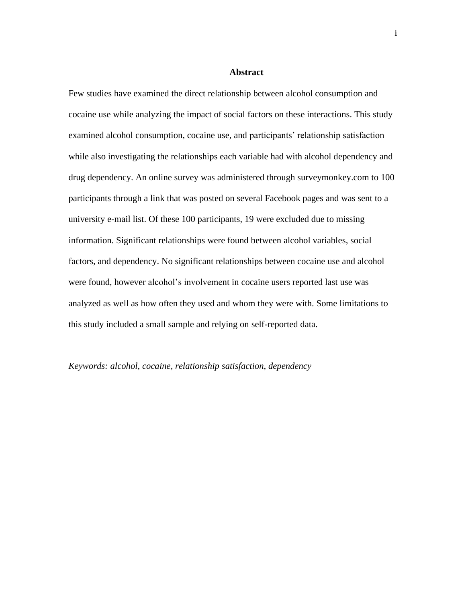#### **Abstract**

Few studies have examined the direct relationship between alcohol consumption and cocaine use while analyzing the impact of social factors on these interactions. This study examined alcohol consumption, cocaine use, and participants' relationship satisfaction while also investigating the relationships each variable had with alcohol dependency and drug dependency. An online survey was administered through surveymonkey.com to 100 participants through a link that was posted on several Facebook pages and was sent to a university e-mail list. Of these 100 participants, 19 were excluded due to missing information. Significant relationships were found between alcohol variables, social factors, and dependency. No significant relationships between cocaine use and alcohol were found, however alcohol's involvement in cocaine users reported last use was analyzed as well as how often they used and whom they were with. Some limitations to this study included a small sample and relying on self-reported data.

*Keywords: alcohol, cocaine, relationship satisfaction*, *dependency*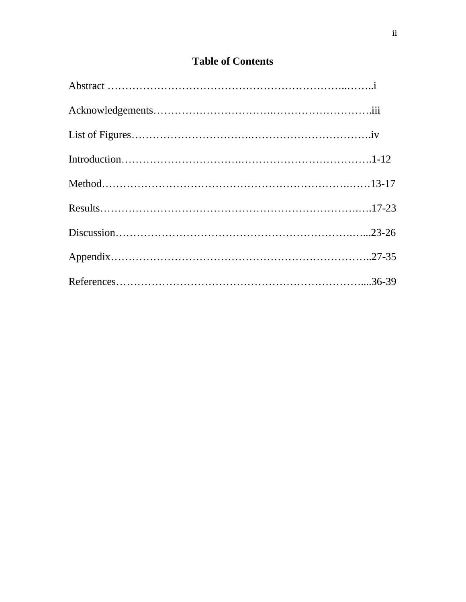## **Table of Contents**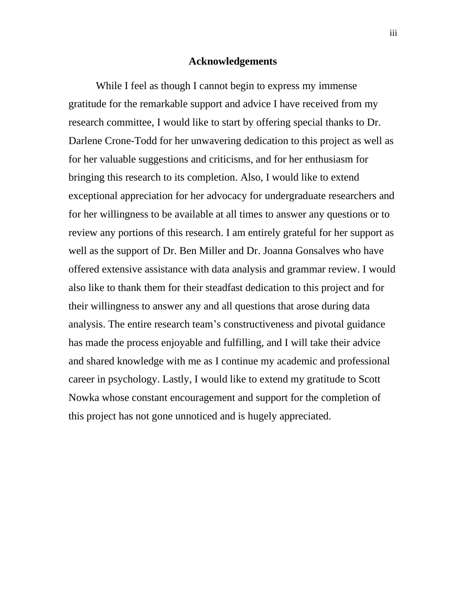#### **Acknowledgements**

While I feel as though I cannot begin to express my immense gratitude for the remarkable support and advice I have received from my research committee, I would like to start by offering special thanks to Dr. Darlene Crone-Todd for her unwavering dedication to this project as well as for her valuable suggestions and criticisms, and for her enthusiasm for bringing this research to its completion. Also, I would like to extend exceptional appreciation for her advocacy for undergraduate researchers and for her willingness to be available at all times to answer any questions or to review any portions of this research. I am entirely grateful for her support as well as the support of Dr. Ben Miller and Dr. Joanna Gonsalves who have offered extensive assistance with data analysis and grammar review. I would also like to thank them for their steadfast dedication to this project and for their willingness to answer any and all questions that arose during data analysis. The entire research team's constructiveness and pivotal guidance has made the process enjoyable and fulfilling, and I will take their advice and shared knowledge with me as I continue my academic and professional career in psychology. Lastly, I would like to extend my gratitude to Scott Nowka whose constant encouragement and support for the completion of this project has not gone unnoticed and is hugely appreciated.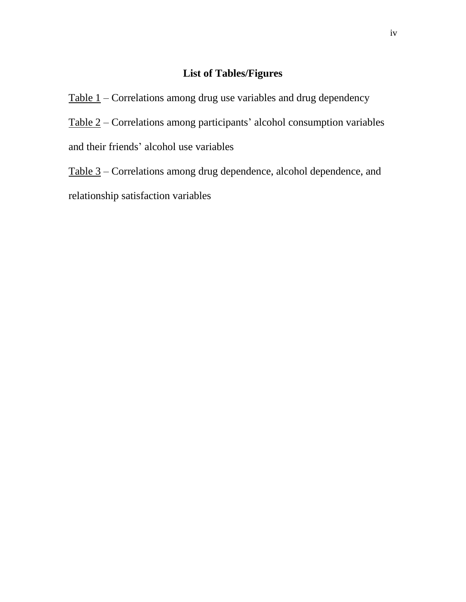## **List of Tables/Figures**

Table 1 – Correlations among drug use variables and drug dependency Table 2 – Correlations among participants' alcohol consumption variables and their friends' alcohol use variables

Table 3 – Correlations among drug dependence, alcohol dependence, and relationship satisfaction variables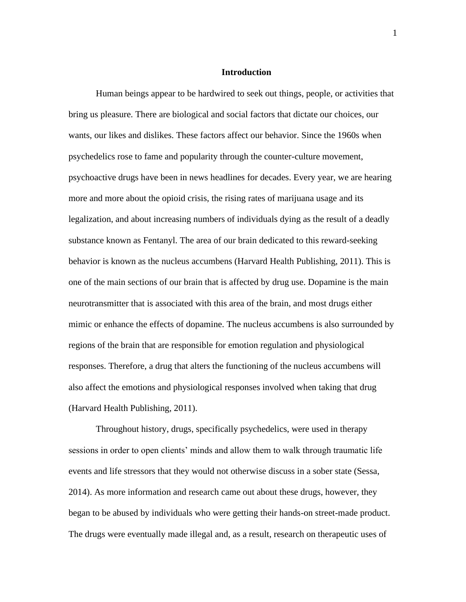#### **Introduction**

Human beings appear to be hardwired to seek out things, people, or activities that bring us pleasure. There are biological and social factors that dictate our choices, our wants, our likes and dislikes. These factors affect our behavior. Since the 1960s when psychedelics rose to fame and popularity through the counter-culture movement, psychoactive drugs have been in news headlines for decades. Every year, we are hearing more and more about the opioid crisis, the rising rates of marijuana usage and its legalization, and about increasing numbers of individuals dying as the result of a deadly substance known as Fentanyl. The area of our brain dedicated to this reward-seeking behavior is known as the nucleus accumbens (Harvard Health Publishing, 2011). This is one of the main sections of our brain that is affected by drug use. Dopamine is the main neurotransmitter that is associated with this area of the brain, and most drugs either mimic or enhance the effects of dopamine. The nucleus accumbens is also surrounded by regions of the brain that are responsible for emotion regulation and physiological responses. Therefore, a drug that alters the functioning of the nucleus accumbens will also affect the emotions and physiological responses involved when taking that drug (Harvard Health Publishing, 2011).

Throughout history, drugs, specifically psychedelics, were used in therapy sessions in order to open clients' minds and allow them to walk through traumatic life events and life stressors that they would not otherwise discuss in a sober state (Sessa, 2014). As more information and research came out about these drugs, however, they began to be abused by individuals who were getting their hands-on street-made product. The drugs were eventually made illegal and, as a result, research on therapeutic uses of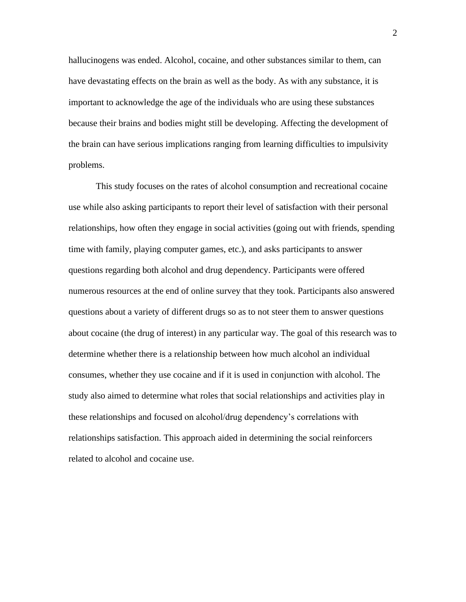hallucinogens was ended. Alcohol, cocaine, and other substances similar to them, can have devastating effects on the brain as well as the body. As with any substance, it is important to acknowledge the age of the individuals who are using these substances because their brains and bodies might still be developing. Affecting the development of the brain can have serious implications ranging from learning difficulties to impulsivity problems.

This study focuses on the rates of alcohol consumption and recreational cocaine use while also asking participants to report their level of satisfaction with their personal relationships, how often they engage in social activities (going out with friends, spending time with family, playing computer games, etc.), and asks participants to answer questions regarding both alcohol and drug dependency. Participants were offered numerous resources at the end of online survey that they took. Participants also answered questions about a variety of different drugs so as to not steer them to answer questions about cocaine (the drug of interest) in any particular way. The goal of this research was to determine whether there is a relationship between how much alcohol an individual consumes, whether they use cocaine and if it is used in conjunction with alcohol. The study also aimed to determine what roles that social relationships and activities play in these relationships and focused on alcohol/drug dependency's correlations with relationships satisfaction. This approach aided in determining the social reinforcers related to alcohol and cocaine use.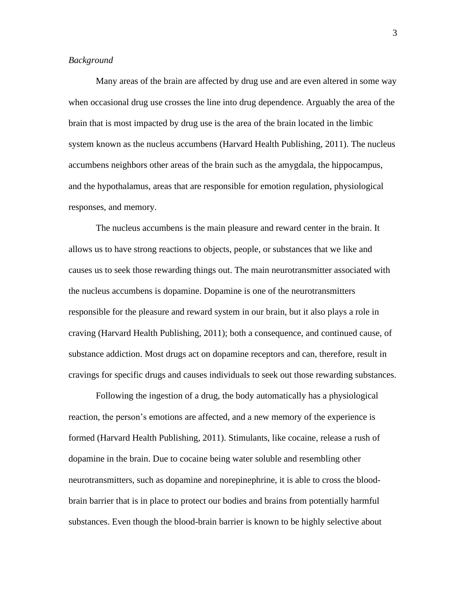#### *Background*

Many areas of the brain are affected by drug use and are even altered in some way when occasional drug use crosses the line into drug dependence. Arguably the area of the brain that is most impacted by drug use is the area of the brain located in the limbic system known as the nucleus accumbens (Harvard Health Publishing, 2011). The nucleus accumbens neighbors other areas of the brain such as the amygdala, the hippocampus, and the hypothalamus, areas that are responsible for emotion regulation, physiological responses, and memory.

The nucleus accumbens is the main pleasure and reward center in the brain. It allows us to have strong reactions to objects, people, or substances that we like and causes us to seek those rewarding things out. The main neurotransmitter associated with the nucleus accumbens is dopamine. Dopamine is one of the neurotransmitters responsible for the pleasure and reward system in our brain, but it also plays a role in craving (Harvard Health Publishing, 2011); both a consequence, and continued cause, of substance addiction. Most drugs act on dopamine receptors and can, therefore, result in cravings for specific drugs and causes individuals to seek out those rewarding substances.

Following the ingestion of a drug, the body automatically has a physiological reaction, the person's emotions are affected, and a new memory of the experience is formed (Harvard Health Publishing, 2011). Stimulants, like cocaine, release a rush of dopamine in the brain. Due to cocaine being water soluble and resembling other neurotransmitters, such as dopamine and norepinephrine, it is able to cross the bloodbrain barrier that is in place to protect our bodies and brains from potentially harmful substances. Even though the blood-brain barrier is known to be highly selective about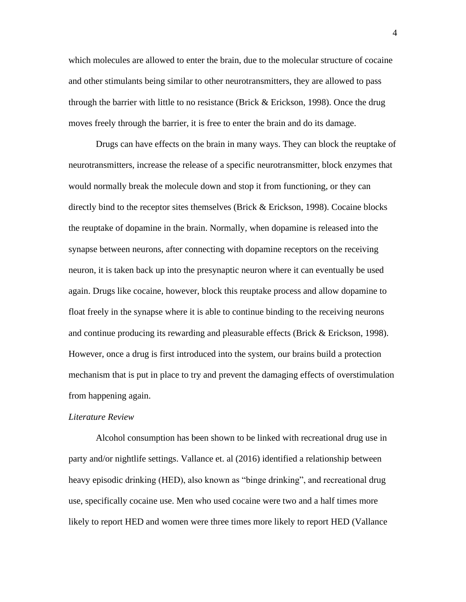which molecules are allowed to enter the brain, due to the molecular structure of cocaine and other stimulants being similar to other neurotransmitters, they are allowed to pass through the barrier with little to no resistance (Brick & Erickson, 1998). Once the drug moves freely through the barrier, it is free to enter the brain and do its damage.

Drugs can have effects on the brain in many ways. They can block the reuptake of neurotransmitters, increase the release of a specific neurotransmitter, block enzymes that would normally break the molecule down and stop it from functioning, or they can directly bind to the receptor sites themselves (Brick & Erickson, 1998). Cocaine blocks the reuptake of dopamine in the brain. Normally, when dopamine is released into the synapse between neurons, after connecting with dopamine receptors on the receiving neuron, it is taken back up into the presynaptic neuron where it can eventually be used again. Drugs like cocaine, however, block this reuptake process and allow dopamine to float freely in the synapse where it is able to continue binding to the receiving neurons and continue producing its rewarding and pleasurable effects (Brick & Erickson, 1998). However, once a drug is first introduced into the system, our brains build a protection mechanism that is put in place to try and prevent the damaging effects of overstimulation from happening again.

#### *Literature Review*

Alcohol consumption has been shown to be linked with recreational drug use in party and/or nightlife settings. Vallance et. al (2016) identified a relationship between heavy episodic drinking (HED), also known as "binge drinking", and recreational drug use, specifically cocaine use. Men who used cocaine were two and a half times more likely to report HED and women were three times more likely to report HED (Vallance

4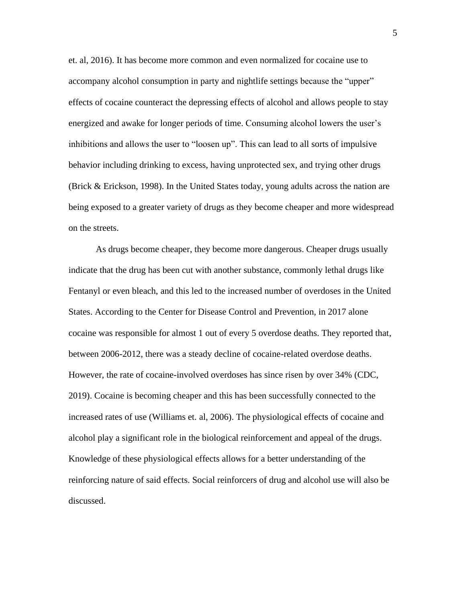et. al, 2016). It has become more common and even normalized for cocaine use to accompany alcohol consumption in party and nightlife settings because the "upper" effects of cocaine counteract the depressing effects of alcohol and allows people to stay energized and awake for longer periods of time. Consuming alcohol lowers the user's inhibitions and allows the user to "loosen up". This can lead to all sorts of impulsive behavior including drinking to excess, having unprotected sex, and trying other drugs (Brick & Erickson, 1998). In the United States today, young adults across the nation are being exposed to a greater variety of drugs as they become cheaper and more widespread on the streets.

As drugs become cheaper, they become more dangerous. Cheaper drugs usually indicate that the drug has been cut with another substance, commonly lethal drugs like Fentanyl or even bleach, and this led to the increased number of overdoses in the United States. According to the Center for Disease Control and Prevention, in 2017 alone cocaine was responsible for almost 1 out of every 5 overdose deaths. They reported that, between 2006-2012, there was a steady decline of cocaine-related overdose deaths. However, the rate of cocaine-involved overdoses has since risen by over 34% (CDC, 2019). Cocaine is becoming cheaper and this has been successfully connected to the increased rates of use (Williams et. al, 2006). The physiological effects of cocaine and alcohol play a significant role in the biological reinforcement and appeal of the drugs. Knowledge of these physiological effects allows for a better understanding of the reinforcing nature of said effects. Social reinforcers of drug and alcohol use will also be discussed.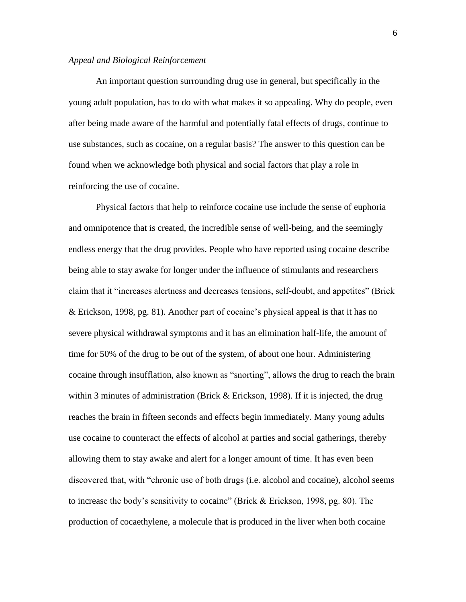#### *Appeal and Biological Reinforcement*

An important question surrounding drug use in general, but specifically in the young adult population, has to do with what makes it so appealing. Why do people, even after being made aware of the harmful and potentially fatal effects of drugs, continue to use substances, such as cocaine, on a regular basis? The answer to this question can be found when we acknowledge both physical and social factors that play a role in reinforcing the use of cocaine.

Physical factors that help to reinforce cocaine use include the sense of euphoria and omnipotence that is created, the incredible sense of well-being, and the seemingly endless energy that the drug provides. People who have reported using cocaine describe being able to stay awake for longer under the influence of stimulants and researchers claim that it "increases alertness and decreases tensions, self-doubt, and appetites" (Brick & Erickson, 1998, pg. 81). Another part of cocaine's physical appeal is that it has no severe physical withdrawal symptoms and it has an elimination half-life, the amount of time for 50% of the drug to be out of the system, of about one hour. Administering cocaine through insufflation, also known as "snorting", allows the drug to reach the brain within 3 minutes of administration (Brick & Erickson, 1998). If it is injected, the drug reaches the brain in fifteen seconds and effects begin immediately. Many young adults use cocaine to counteract the effects of alcohol at parties and social gatherings, thereby allowing them to stay awake and alert for a longer amount of time. It has even been discovered that, with "chronic use of both drugs (i.e. alcohol and cocaine), alcohol seems to increase the body's sensitivity to cocaine" (Brick & Erickson, 1998, pg. 80). The production of cocaethylene, a molecule that is produced in the liver when both cocaine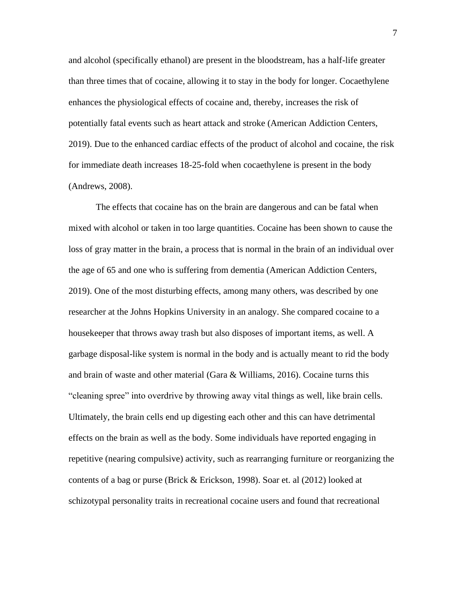and alcohol (specifically ethanol) are present in the bloodstream, has a half-life greater than three times that of cocaine, allowing it to stay in the body for longer. Cocaethylene enhances the physiological effects of cocaine and, thereby, increases the risk of potentially fatal events such as heart attack and stroke (American Addiction Centers, 2019). Due to the enhanced cardiac effects of the product of alcohol and cocaine, the risk for immediate death increases 18-25-fold when cocaethylene is present in the body (Andrews, 2008).

The effects that cocaine has on the brain are dangerous and can be fatal when mixed with alcohol or taken in too large quantities. Cocaine has been shown to cause the loss of gray matter in the brain, a process that is normal in the brain of an individual over the age of 65 and one who is suffering from dementia (American Addiction Centers, 2019). One of the most disturbing effects, among many others, was described by one researcher at the Johns Hopkins University in an analogy. She compared cocaine to a housekeeper that throws away trash but also disposes of important items, as well. A garbage disposal-like system is normal in the body and is actually meant to rid the body and brain of waste and other material (Gara & Williams, 2016). Cocaine turns this "cleaning spree" into overdrive by throwing away vital things as well, like brain cells. Ultimately, the brain cells end up digesting each other and this can have detrimental effects on the brain as well as the body. Some individuals have reported engaging in repetitive (nearing compulsive) activity, such as rearranging furniture or reorganizing the contents of a bag or purse (Brick & Erickson, 1998). Soar et. al (2012) looked at schizotypal personality traits in recreational cocaine users and found that recreational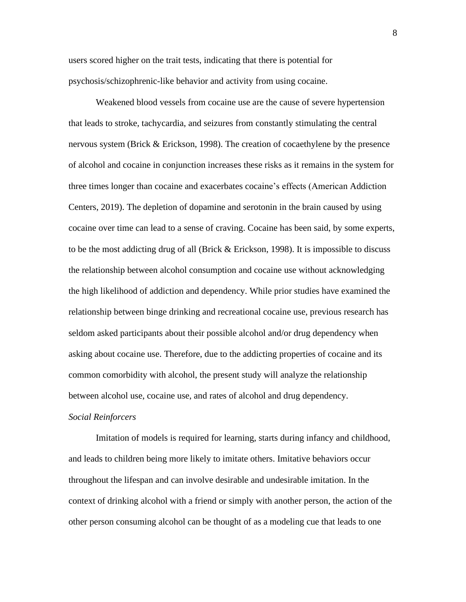users scored higher on the trait tests, indicating that there is potential for psychosis/schizophrenic-like behavior and activity from using cocaine.

Weakened blood vessels from cocaine use are the cause of severe hypertension that leads to stroke, tachycardia, and seizures from constantly stimulating the central nervous system (Brick & Erickson, 1998). The creation of cocaethylene by the presence of alcohol and cocaine in conjunction increases these risks as it remains in the system for three times longer than cocaine and exacerbates cocaine's effects (American Addiction Centers, 2019). The depletion of dopamine and serotonin in the brain caused by using cocaine over time can lead to a sense of craving. Cocaine has been said, by some experts, to be the most addicting drug of all (Brick & Erickson, 1998). It is impossible to discuss the relationship between alcohol consumption and cocaine use without acknowledging the high likelihood of addiction and dependency. While prior studies have examined the relationship between binge drinking and recreational cocaine use, previous research has seldom asked participants about their possible alcohol and/or drug dependency when asking about cocaine use. Therefore, due to the addicting properties of cocaine and its common comorbidity with alcohol, the present study will analyze the relationship between alcohol use, cocaine use, and rates of alcohol and drug dependency.

#### *Social Reinforcers*

Imitation of models is required for learning, starts during infancy and childhood, and leads to children being more likely to imitate others. Imitative behaviors occur throughout the lifespan and can involve desirable and undesirable imitation. In the context of drinking alcohol with a friend or simply with another person, the action of the other person consuming alcohol can be thought of as a modeling cue that leads to one

8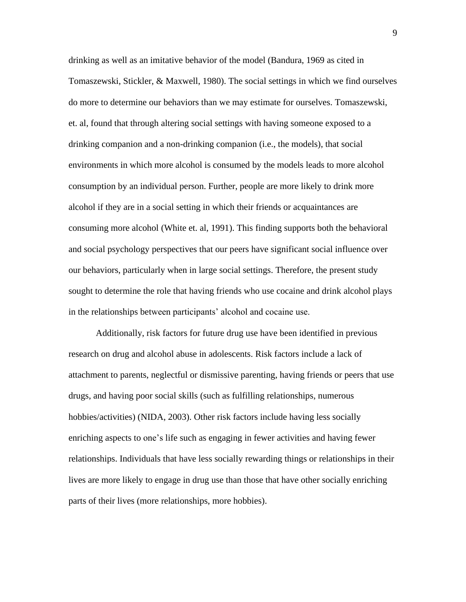drinking as well as an imitative behavior of the model (Bandura, 1969 as cited in Tomaszewski, Stickler, & Maxwell, 1980). The social settings in which we find ourselves do more to determine our behaviors than we may estimate for ourselves. Tomaszewski, et. al, found that through altering social settings with having someone exposed to a drinking companion and a non-drinking companion (i.e., the models), that social environments in which more alcohol is consumed by the models leads to more alcohol consumption by an individual person. Further, people are more likely to drink more alcohol if they are in a social setting in which their friends or acquaintances are consuming more alcohol (White et. al, 1991). This finding supports both the behavioral and social psychology perspectives that our peers have significant social influence over our behaviors, particularly when in large social settings. Therefore, the present study sought to determine the role that having friends who use cocaine and drink alcohol plays in the relationships between participants' alcohol and cocaine use.

Additionally, risk factors for future drug use have been identified in previous research on drug and alcohol abuse in adolescents. Risk factors include a lack of attachment to parents, neglectful or dismissive parenting, having friends or peers that use drugs, and having poor social skills (such as fulfilling relationships, numerous hobbies/activities) (NIDA, 2003). Other risk factors include having less socially enriching aspects to one's life such as engaging in fewer activities and having fewer relationships. Individuals that have less socially rewarding things or relationships in their lives are more likely to engage in drug use than those that have other socially enriching parts of their lives (more relationships, more hobbies).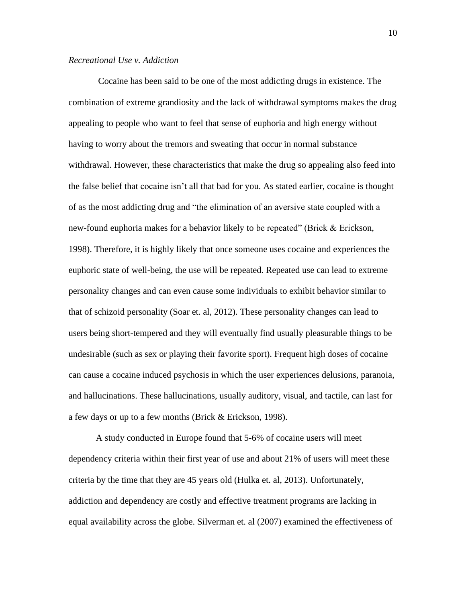#### *Recreational Use v. Addiction*

Cocaine has been said to be one of the most addicting drugs in existence. The combination of extreme grandiosity and the lack of withdrawal symptoms makes the drug appealing to people who want to feel that sense of euphoria and high energy without having to worry about the tremors and sweating that occur in normal substance withdrawal. However, these characteristics that make the drug so appealing also feed into the false belief that cocaine isn't all that bad for you. As stated earlier, cocaine is thought of as the most addicting drug and "the elimination of an aversive state coupled with a new-found euphoria makes for a behavior likely to be repeated" (Brick & Erickson, 1998). Therefore, it is highly likely that once someone uses cocaine and experiences the euphoric state of well-being, the use will be repeated. Repeated use can lead to extreme personality changes and can even cause some individuals to exhibit behavior similar to that of schizoid personality (Soar et. al, 2012). These personality changes can lead to users being short-tempered and they will eventually find usually pleasurable things to be undesirable (such as sex or playing their favorite sport). Frequent high doses of cocaine can cause a cocaine induced psychosis in which the user experiences delusions, paranoia, and hallucinations. These hallucinations, usually auditory, visual, and tactile, can last for a few days or up to a few months (Brick & Erickson, 1998).

A study conducted in Europe found that 5-6% of cocaine users will meet dependency criteria within their first year of use and about 21% of users will meet these criteria by the time that they are 45 years old (Hulka et. al, 2013). Unfortunately, addiction and dependency are costly and effective treatment programs are lacking in equal availability across the globe. Silverman et. al (2007) examined the effectiveness of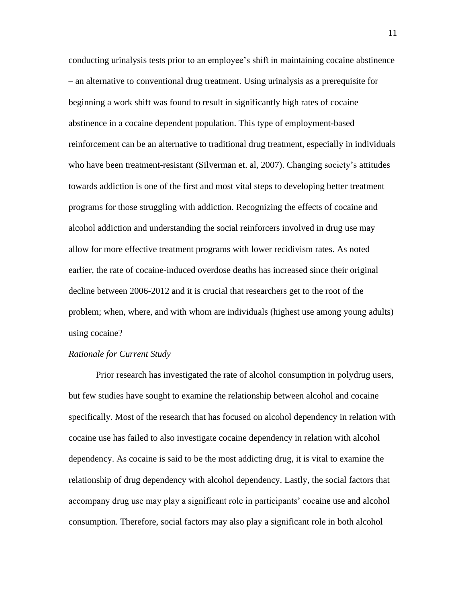conducting urinalysis tests prior to an employee's shift in maintaining cocaine abstinence – an alternative to conventional drug treatment. Using urinalysis as a prerequisite for beginning a work shift was found to result in significantly high rates of cocaine abstinence in a cocaine dependent population. This type of employment-based reinforcement can be an alternative to traditional drug treatment, especially in individuals who have been treatment-resistant (Silverman et. al, 2007). Changing society's attitudes towards addiction is one of the first and most vital steps to developing better treatment programs for those struggling with addiction. Recognizing the effects of cocaine and alcohol addiction and understanding the social reinforcers involved in drug use may allow for more effective treatment programs with lower recidivism rates. As noted earlier, the rate of cocaine-induced overdose deaths has increased since their original decline between 2006-2012 and it is crucial that researchers get to the root of the problem; when, where, and with whom are individuals (highest use among young adults) using cocaine?

#### *Rationale for Current Study*

Prior research has investigated the rate of alcohol consumption in polydrug users, but few studies have sought to examine the relationship between alcohol and cocaine specifically. Most of the research that has focused on alcohol dependency in relation with cocaine use has failed to also investigate cocaine dependency in relation with alcohol dependency. As cocaine is said to be the most addicting drug, it is vital to examine the relationship of drug dependency with alcohol dependency. Lastly, the social factors that accompany drug use may play a significant role in participants' cocaine use and alcohol consumption. Therefore, social factors may also play a significant role in both alcohol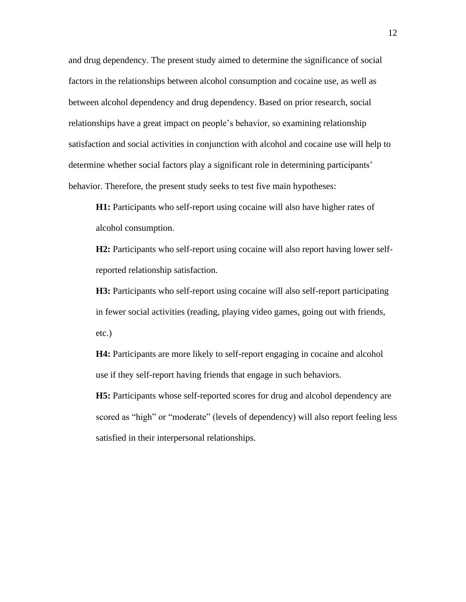and drug dependency. The present study aimed to determine the significance of social factors in the relationships between alcohol consumption and cocaine use, as well as between alcohol dependency and drug dependency. Based on prior research, social relationships have a great impact on people's behavior, so examining relationship satisfaction and social activities in conjunction with alcohol and cocaine use will help to determine whether social factors play a significant role in determining participants' behavior. Therefore, the present study seeks to test five main hypotheses:

**H1:** Participants who self-report using cocaine will also have higher rates of alcohol consumption.

**H2:** Participants who self-report using cocaine will also report having lower selfreported relationship satisfaction.

**H3:** Participants who self-report using cocaine will also self-report participating in fewer social activities (reading, playing video games, going out with friends, etc.)

**H4:** Participants are more likely to self-report engaging in cocaine and alcohol use if they self-report having friends that engage in such behaviors.

**H5:** Participants whose self-reported scores for drug and alcohol dependency are scored as "high" or "moderate" (levels of dependency) will also report feeling less satisfied in their interpersonal relationships.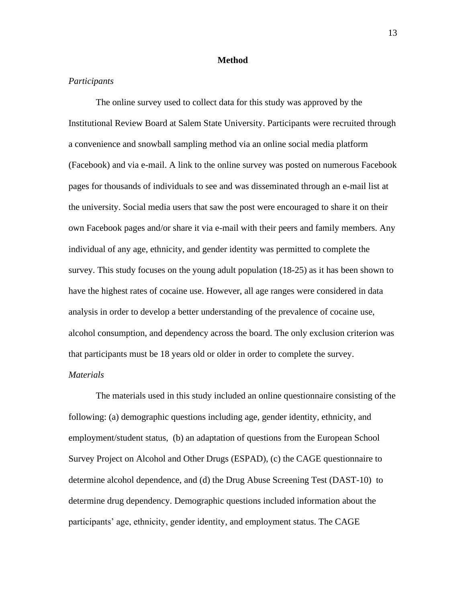#### **Method**

#### *Participants*

The online survey used to collect data for this study was approved by the Institutional Review Board at Salem State University. Participants were recruited through a convenience and snowball sampling method via an online social media platform (Facebook) and via e-mail. A link to the online survey was posted on numerous Facebook pages for thousands of individuals to see and was disseminated through an e-mail list at the university. Social media users that saw the post were encouraged to share it on their own Facebook pages and/or share it via e-mail with their peers and family members. Any individual of any age, ethnicity, and gender identity was permitted to complete the survey. This study focuses on the young adult population (18-25) as it has been shown to have the highest rates of cocaine use. However, all age ranges were considered in data analysis in order to develop a better understanding of the prevalence of cocaine use, alcohol consumption, and dependency across the board. The only exclusion criterion was that participants must be 18 years old or older in order to complete the survey.

## *Materials*

The materials used in this study included an online questionnaire consisting of the following: (a) demographic questions including age, gender identity, ethnicity, and employment/student status, (b) an adaptation of questions from the European School Survey Project on Alcohol and Other Drugs (ESPAD), (c) the CAGE questionnaire to determine alcohol dependence, and (d) the Drug Abuse Screening Test (DAST-10) to determine drug dependency. Demographic questions included information about the participants' age, ethnicity, gender identity, and employment status. The CAGE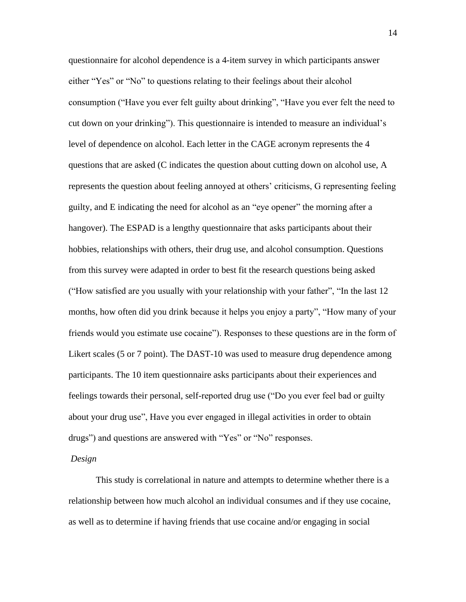questionnaire for alcohol dependence is a 4-item survey in which participants answer either "Yes" or "No" to questions relating to their feelings about their alcohol consumption ("Have you ever felt guilty about drinking", "Have you ever felt the need to cut down on your drinking"). This questionnaire is intended to measure an individual's level of dependence on alcohol. Each letter in the CAGE acronym represents the 4 questions that are asked (C indicates the question about cutting down on alcohol use, A represents the question about feeling annoyed at others' criticisms, G representing feeling guilty, and E indicating the need for alcohol as an "eye opener" the morning after a hangover). The ESPAD is a lengthy questionnaire that asks participants about their hobbies, relationships with others, their drug use, and alcohol consumption. Questions from this survey were adapted in order to best fit the research questions being asked ("How satisfied are you usually with your relationship with your father", "In the last 12 months, how often did you drink because it helps you enjoy a party", "How many of your friends would you estimate use cocaine"). Responses to these questions are in the form of Likert scales (5 or 7 point). The DAST-10 was used to measure drug dependence among participants. The 10 item questionnaire asks participants about their experiences and feelings towards their personal, self-reported drug use ("Do you ever feel bad or guilty about your drug use", Have you ever engaged in illegal activities in order to obtain drugs") and questions are answered with "Yes" or "No" responses.

#### *Design*

This study is correlational in nature and attempts to determine whether there is a relationship between how much alcohol an individual consumes and if they use cocaine, as well as to determine if having friends that use cocaine and/or engaging in social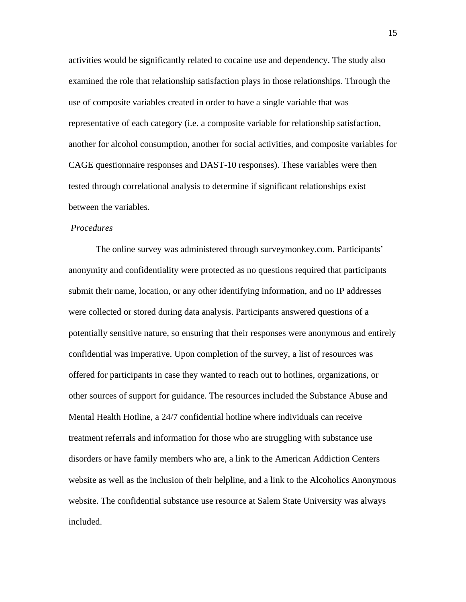activities would be significantly related to cocaine use and dependency. The study also examined the role that relationship satisfaction plays in those relationships. Through the use of composite variables created in order to have a single variable that was representative of each category (i.e. a composite variable for relationship satisfaction, another for alcohol consumption, another for social activities, and composite variables for CAGE questionnaire responses and DAST-10 responses). These variables were then tested through correlational analysis to determine if significant relationships exist between the variables.

#### *Procedures*

The online survey was administered through surveymonkey.com. Participants' anonymity and confidentiality were protected as no questions required that participants submit their name, location, or any other identifying information, and no IP addresses were collected or stored during data analysis. Participants answered questions of a potentially sensitive nature, so ensuring that their responses were anonymous and entirely confidential was imperative. Upon completion of the survey, a list of resources was offered for participants in case they wanted to reach out to hotlines, organizations, or other sources of support for guidance. The resources included the Substance Abuse and Mental Health Hotline, a 24/7 confidential hotline where individuals can receive treatment referrals and information for those who are struggling with substance use disorders or have family members who are, a link to the American Addiction Centers website as well as the inclusion of their helpline, and a link to the Alcoholics Anonymous website. The confidential substance use resource at Salem State University was always included.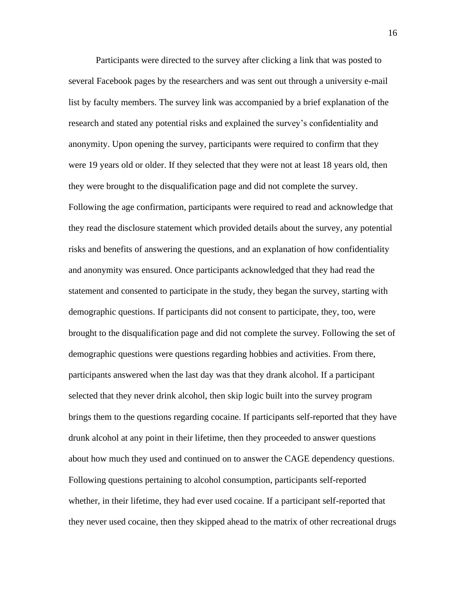Participants were directed to the survey after clicking a link that was posted to several Facebook pages by the researchers and was sent out through a university e-mail list by faculty members. The survey link was accompanied by a brief explanation of the research and stated any potential risks and explained the survey's confidentiality and anonymity. Upon opening the survey, participants were required to confirm that they were 19 years old or older. If they selected that they were not at least 18 years old, then they were brought to the disqualification page and did not complete the survey. Following the age confirmation, participants were required to read and acknowledge that they read the disclosure statement which provided details about the survey, any potential risks and benefits of answering the questions, and an explanation of how confidentiality and anonymity was ensured. Once participants acknowledged that they had read the statement and consented to participate in the study, they began the survey, starting with demographic questions. If participants did not consent to participate, they, too, were brought to the disqualification page and did not complete the survey. Following the set of demographic questions were questions regarding hobbies and activities. From there, participants answered when the last day was that they drank alcohol. If a participant selected that they never drink alcohol, then skip logic built into the survey program brings them to the questions regarding cocaine. If participants self-reported that they have drunk alcohol at any point in their lifetime, then they proceeded to answer questions about how much they used and continued on to answer the CAGE dependency questions. Following questions pertaining to alcohol consumption, participants self-reported whether, in their lifetime, they had ever used cocaine. If a participant self-reported that they never used cocaine, then they skipped ahead to the matrix of other recreational drugs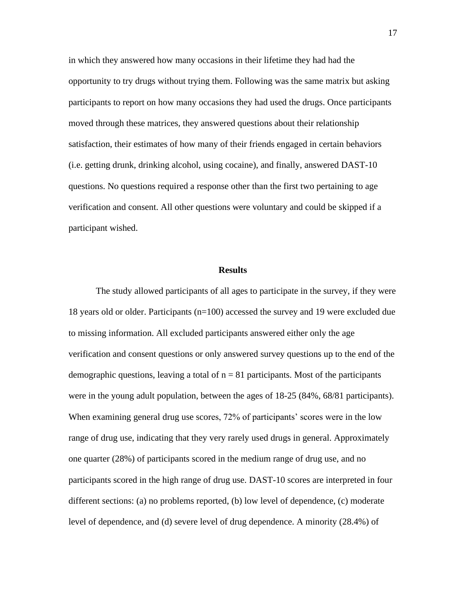in which they answered how many occasions in their lifetime they had had the opportunity to try drugs without trying them. Following was the same matrix but asking participants to report on how many occasions they had used the drugs. Once participants moved through these matrices, they answered questions about their relationship satisfaction, their estimates of how many of their friends engaged in certain behaviors (i.e. getting drunk, drinking alcohol, using cocaine), and finally, answered DAST-10 questions. No questions required a response other than the first two pertaining to age verification and consent. All other questions were voluntary and could be skipped if a participant wished.

#### **Results**

The study allowed participants of all ages to participate in the survey, if they were 18 years old or older. Participants (n=100) accessed the survey and 19 were excluded due to missing information. All excluded participants answered either only the age verification and consent questions or only answered survey questions up to the end of the demographic questions, leaving a total of  $n = 81$  participants. Most of the participants were in the young adult population, between the ages of 18-25 (84%, 68/81 participants). When examining general drug use scores, 72% of participants' scores were in the low range of drug use, indicating that they very rarely used drugs in general. Approximately one quarter (28%) of participants scored in the medium range of drug use, and no participants scored in the high range of drug use. DAST-10 scores are interpreted in four different sections: (a) no problems reported, (b) low level of dependence, (c) moderate level of dependence, and (d) severe level of drug dependence. A minority (28.4%) of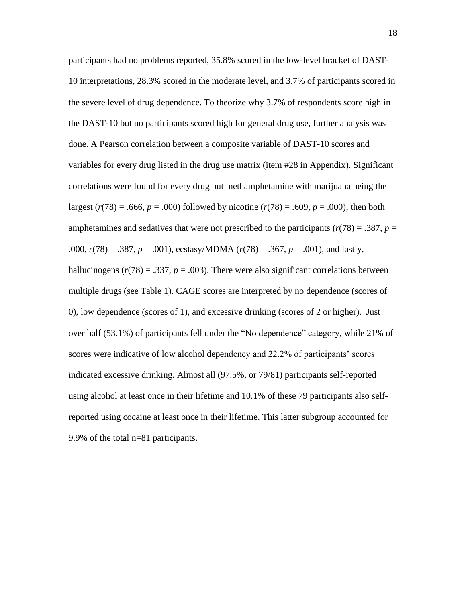participants had no problems reported, 35.8% scored in the low-level bracket of DAST-10 interpretations, 28.3% scored in the moderate level, and 3.7% of participants scored in the severe level of drug dependence. To theorize why 3.7% of respondents score high in the DAST-10 but no participants scored high for general drug use, further analysis was done. A Pearson correlation between a composite variable of DAST-10 scores and variables for every drug listed in the drug use matrix (item #28 in Appendix). Significant correlations were found for every drug but methamphetamine with marijuana being the largest ( $r(78) = .666$ ,  $p = .000$ ) followed by nicotine ( $r(78) = .609$ ,  $p = .000$ ), then both amphetamines and sedatives that were not prescribed to the participants ( $r(78) = .387$ ,  $p =$ .000, *r*(78) = .387, *p* = .001), ecstasy/MDMA (*r*(78) = .367, *p* = .001), and lastly, hallucinogens  $(r(78) = .337, p = .003)$ . There were also significant correlations between multiple drugs (see Table 1). CAGE scores are interpreted by no dependence (scores of 0), low dependence (scores of 1), and excessive drinking (scores of 2 or higher). Just over half (53.1%) of participants fell under the "No dependence" category, while 21% of scores were indicative of low alcohol dependency and 22.2% of participants' scores indicated excessive drinking. Almost all (97.5%, or 79/81) participants self-reported using alcohol at least once in their lifetime and 10.1% of these 79 participants also selfreported using cocaine at least once in their lifetime. This latter subgroup accounted for 9.9% of the total n=81 participants.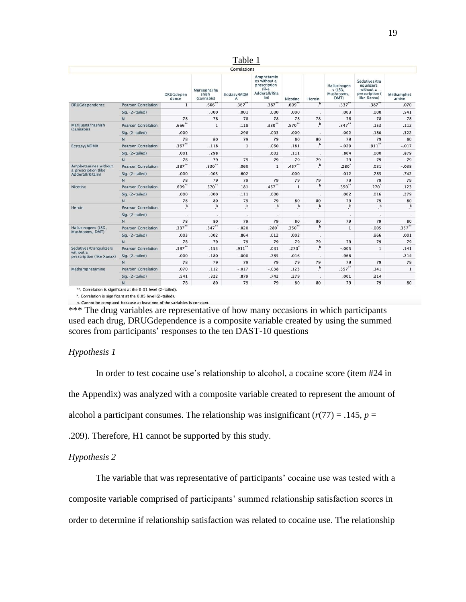|                                                                   |                            |                           |                                     | $  -$                       |                                                                               |              |                                          |                                               |                                                                           |                      |
|-------------------------------------------------------------------|----------------------------|---------------------------|-------------------------------------|-----------------------------|-------------------------------------------------------------------------------|--------------|------------------------------------------|-----------------------------------------------|---------------------------------------------------------------------------|----------------------|
|                                                                   |                            |                           |                                     | <b>Correlations</b>         |                                                                               |              |                                          |                                               |                                                                           |                      |
|                                                                   |                            | <b>DRUGdepen</b><br>dence | Marijuana/ha<br>shish<br>(cannabis) | Ecstasy/MDM<br>$\mathbf{A}$ | Amphetamin<br>es without a<br>prescription<br>(like)<br>Adderall/Rita<br>lin) | Nicotine     | Heroin                                   | Hallucinogen<br>s (LSD,<br>Mushrooms,<br>DMT) | Sedatives/tra<br>nquilizers<br>without a<br>prescription (<br>like Xanax) | Methamphet<br>amine  |
| <b>DRUGdependence</b>                                             | <b>Pearson Correlation</b> | 1                         | .666'                               | .367                        | .387                                                                          | .609         | $\mathbf{p}$                             | .337                                          | .387                                                                      | .070                 |
|                                                                   | Sig. (2-tailed)            |                           | .000                                | .001                        | .000                                                                          | .000         | $\sim$                                   | .003                                          | .000                                                                      | .541                 |
|                                                                   | N                          | 78                        | 78                                  | 78                          | 78                                                                            | 78           | 78                                       | 78                                            | 78                                                                        | 78                   |
| Marijuana/hashish                                                 | <b>Pearson Correlation</b> | $.666$ **                 | $\mathbf{1}$                        | .118                        | $.330**$                                                                      | $.570**$     | b                                        | $.347$ **                                     | .153                                                                      | .112                 |
| (cannabis)                                                        | Sig. (2-tailed)            | .000                      |                                     | .298                        | .003                                                                          | .000         | $\ddot{\phantom{a}}$                     | .002                                          | .180                                                                      | .322                 |
|                                                                   | N                          | 78                        | 80                                  | 79                          | 79                                                                            | 80           | 80                                       | 79                                            | 79                                                                        | 80                   |
| Ecstasy/MDMA                                                      | <b>Pearson Correlation</b> | $.367$ **                 | .118                                | 1                           | .060                                                                          | .181         | $^\mathrm{b}$                            | $-.020$                                       | $.911$ **                                                                 | $-.017$              |
|                                                                   | Sig. (2-tailed)            | .001                      | .298                                |                             | .602                                                                          | .111         | $\ddot{\phantom{a}}$                     | .864                                          | .000                                                                      | .879                 |
|                                                                   | N                          | 78                        | 79                                  | 79                          | 79                                                                            | 79           | 79                                       | 79                                            | 79                                                                        | 79                   |
| Amphetamines without<br>a prescription (like<br>Adderall/Ritalin) | <b>Pearson Correlation</b> | $.387$ **                 | $.330**$                            | .060                        | $\mathbf{1}$                                                                  | $.457$ **    | b                                        | .280                                          | .031                                                                      | $-.038$              |
|                                                                   | Sig. (2-tailed)            | .000                      | .003                                | .602                        |                                                                               | .000         | $\cdot$                                  | .012                                          | .785                                                                      | .742                 |
|                                                                   | N                          | 78                        | 79                                  | 79                          | 79                                                                            | 79           | 79                                       | 79                                            | 79                                                                        | 79                   |
| Nicotine                                                          | <b>Pearson Correlation</b> | $.609**$                  | $.570**$                            | .181                        | $.457***$                                                                     | $\mathbf{1}$ | b                                        | $.350$ **                                     | .270                                                                      | .123                 |
|                                                                   | Sig. (2-tailed)            | .000                      | .000                                | .111                        | .000                                                                          |              | Sé.                                      | .002                                          | .016                                                                      | .279                 |
|                                                                   | N                          | 78                        | 80                                  | 79                          | 79                                                                            | 80           | 80                                       | 79                                            | 79                                                                        | 80                   |
| Heroin                                                            | <b>Pearson Correlation</b> | b                         | $\mathbf b$                         | b                           | $\mathbf b$                                                                   | $\mathbf b$  | $\mathbf b$                              | b                                             | $\mathbf b$                                                               | $\mathbf b$          |
|                                                                   | Sig. (2-tailed)            | $\sim$                    | $\mathcal{L}$                       | $\mathcal{L}$               | $\mathcal{L}^{\mathcal{L}}$                                                   | ×            |                                          | ×                                             | $\lambda$                                                                 | $\ddot{\phantom{1}}$ |
|                                                                   | N                          | 78                        | 80                                  | 79                          | 79                                                                            | 80           | 80                                       | 79                                            | 79                                                                        | 80                   |
| Hallucinogens (LSD,                                               | <b>Pearson Correlation</b> | $.337***$                 | $.347**$                            | $-.020$                     | $.280$ <sup>*</sup>                                                           | $.350$ **    | b                                        | 1                                             | $-.005$                                                                   | $.357$ **            |
| Mushrooms, DMT)                                                   | Sig. (2-tailed)            | .003                      | .002                                | .864                        | .012                                                                          | .002         | $\sim$                                   |                                               | .966                                                                      | .001                 |
|                                                                   | $\mathbf N$                | 78                        | 79                                  | 79                          | 79                                                                            | 79           | 79                                       | 79                                            | 79                                                                        | 79                   |
| Sedatives/tranquilizers                                           | <b>Pearson Correlation</b> | $.387$ **                 | .153                                | $.911$ **                   | .031                                                                          | .270'        | $\ddot{\phantom{a}}^{\phantom{\dagger}}$ | $-.005$                                       | $\mathbf{1}$                                                              | .141                 |
| without a<br>prescription (like Xanax)                            | Sig. (2-tailed)            | .000                      | .180                                | .000                        | .785                                                                          | .016         | $\alpha$                                 | .966                                          |                                                                           | .214                 |
|                                                                   | N                          | 78                        | 79                                  | 79                          | 79                                                                            | 79           | 79                                       | 79                                            | 79                                                                        | 79                   |
| Methamphetamine                                                   | <b>Pearson Correlation</b> | .070                      | .112                                | $-.017$                     | $-.038$                                                                       | .123         | b<br>$\cdot$                             | $.357$ **                                     | .141                                                                      | $\mathbf{1}$         |
|                                                                   | Sig. (2-tailed)            | .541                      | .322                                | .879                        | .742                                                                          | .279         | $\blacksquare$                           | .001                                          | .214                                                                      |                      |
|                                                                   | N                          | 78                        | 80                                  | 79                          | 79                                                                            | 80           | 80                                       | 79                                            | 79                                                                        | 80                   |

\*\*. Correlation is significant at the 0.01 level (2-tailed).

\*. Correlation is significant at the 0.05 level (2-tailed).

b. Cannot be computed because at least one of the variables is constant.

\*\*\* The drug variables are representative of how many occasions in which participants used each drug, DRUGdependence is a composite variable created by using the summed scores from participants' responses to the ten DAST-10 questions

#### *Hypothesis 1*

In order to test cocaine use's relationship to alcohol, a cocaine score (item #24 in the Appendix) was analyzed with a composite variable created to represent the amount of

alcohol a participant consumes. The relationship was insignificant  $(r(77) = .145, p =$ 

.209). Therefore, H1 cannot be supported by this study.

#### *Hypothesis 2*

The variable that was representative of participants' cocaine use was tested with a composite variable comprised of participants' summed relationship satisfaction scores in order to determine if relationship satisfaction was related to cocaine use. The relationship

Table 1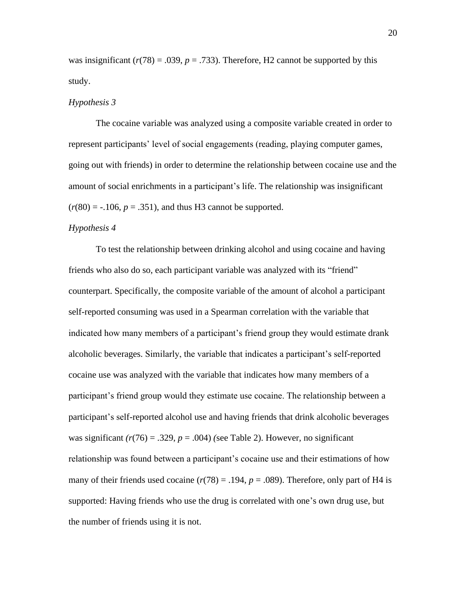was insignificant  $(r(78) = .039, p = .733)$ . Therefore, H<sub>2</sub> cannot be supported by this study.

#### *Hypothesis 3*

The cocaine variable was analyzed using a composite variable created in order to represent participants' level of social engagements (reading, playing computer games, going out with friends) in order to determine the relationship between cocaine use and the amount of social enrichments in a participant's life. The relationship was insignificant  $(r(80) = -.106, p = .351)$ , and thus H3 cannot be supported.

#### *Hypothesis 4*

To test the relationship between drinking alcohol and using cocaine and having friends who also do so, each participant variable was analyzed with its "friend" counterpart. Specifically, the composite variable of the amount of alcohol a participant self-reported consuming was used in a Spearman correlation with the variable that indicated how many members of a participant's friend group they would estimate drank alcoholic beverages. Similarly, the variable that indicates a participant's self-reported cocaine use was analyzed with the variable that indicates how many members of a participant's friend group would they estimate use cocaine. The relationship between a participant's self-reported alcohol use and having friends that drink alcoholic beverages was significant  $(r(76) = .329, p = .004)$  (see Table 2). However, no significant relationship was found between a participant's cocaine use and their estimations of how many of their friends used cocaine  $(r(78) = .194, p = .089)$ . Therefore, only part of H4 is supported: Having friends who use the drug is correlated with one's own drug use, but the number of friends using it is not.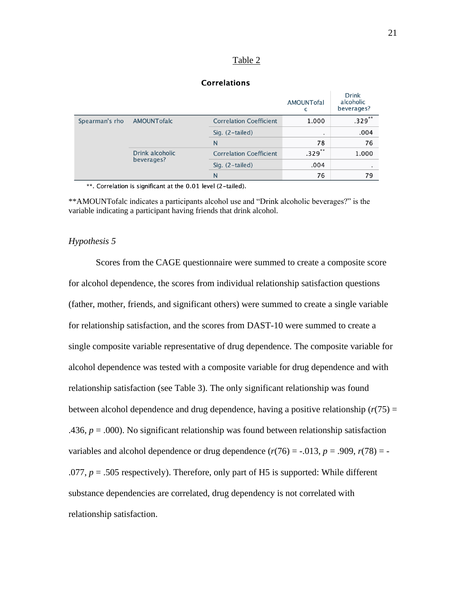#### Table 2

#### **Correlations**

|                |                               |                                | AMOUNTofal | <b>Drink</b><br>alcoholic<br>beverages? |
|----------------|-------------------------------|--------------------------------|------------|-----------------------------------------|
| Spearman's rho | AMOUNTofalc                   | <b>Correlation Coefficient</b> | 1.000      | $.329***$                               |
|                |                               | Sig. $(2-tailed)$              | ٠          | .004                                    |
|                |                               | N                              | 78         | 76                                      |
|                | Drink alcoholic<br>beverages? | <b>Correlation Coefficient</b> | **<br>.329 | 1.000                                   |
|                |                               | Sig. (2-tailed)                | .004       |                                         |
|                |                               | N                              | 76         | 79                                      |

\*\*. Correlation is significant at the 0.01 level (2-tailed).

\*\*AMOUNTofalc indicates a participants alcohol use and "Drink alcoholic beverages?" is the variable indicating a participant having friends that drink alcohol.

#### *Hypothesis 5*

Scores from the CAGE questionnaire were summed to create a composite score for alcohol dependence, the scores from individual relationship satisfaction questions (father, mother, friends, and significant others) were summed to create a single variable for relationship satisfaction, and the scores from DAST-10 were summed to create a single composite variable representative of drug dependence. The composite variable for alcohol dependence was tested with a composite variable for drug dependence and with relationship satisfaction (see Table 3). The only significant relationship was found between alcohol dependence and drug dependence, having a positive relationship  $(r(75) =$ .436,  $p = .000$ ). No significant relationship was found between relationship satisfaction variables and alcohol dependence or drug dependence  $(r(76) = -.013, p = .909, r(78) = -$ .077,  $p = .505$  respectively). Therefore, only part of H5 is supported: While different substance dependencies are correlated, drug dependency is not correlated with relationship satisfaction.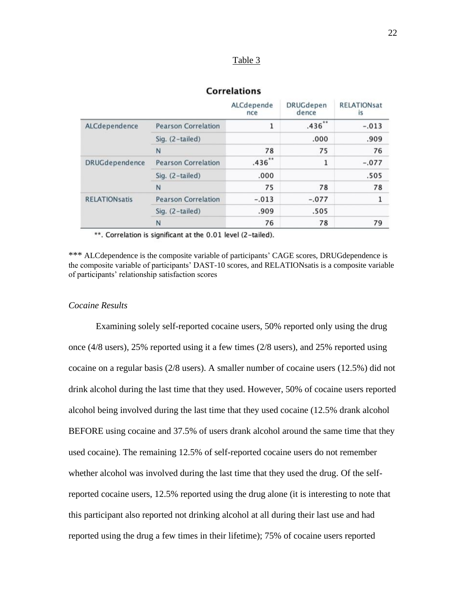#### Table 3

#### **Correlations**

|                      |                            | ALCdepende<br>nce | <b>DRUGdepen</b><br>dence | <b>RELATIONsat</b><br>1S |
|----------------------|----------------------------|-------------------|---------------------------|--------------------------|
| ALCdependence        | <b>Pearson Correlation</b> | 1                 | $.436$ **                 | $-.013$                  |
|                      | Sig. (2-tailed)            |                   | .000                      | .909                     |
|                      | N                          | 78                | 75                        | 76                       |
| DRUGdependence       | <b>Pearson Correlation</b> | $.436$ **         | 1                         | $-.077$                  |
|                      | Sig. (2-tailed)            | .000              |                           | .505                     |
|                      | N                          | 75                | 78                        | 78                       |
| <b>RELATIONsatis</b> | <b>Pearson Correlation</b> | $-.013$           | $-.077$                   |                          |
|                      | Sig. $(2-tailed)$          | .909              | .505                      |                          |
|                      | N                          | 76                | 78                        | 79                       |

\*\*. Correlation is significant at the 0.01 level (2-tailed).

\*\*\* ALCdependence is the composite variable of participants' CAGE scores, DRUGdependence is the composite variable of participants' DAST-10 scores, and RELATIONsatis is a composite variable of participants' relationship satisfaction scores

#### *Cocaine Results*

Examining solely self-reported cocaine users, 50% reported only using the drug once (4/8 users), 25% reported using it a few times (2/8 users), and 25% reported using cocaine on a regular basis (2/8 users). A smaller number of cocaine users (12.5%) did not drink alcohol during the last time that they used. However, 50% of cocaine users reported alcohol being involved during the last time that they used cocaine (12.5% drank alcohol BEFORE using cocaine and 37.5% of users drank alcohol around the same time that they used cocaine). The remaining 12.5% of self-reported cocaine users do not remember whether alcohol was involved during the last time that they used the drug. Of the selfreported cocaine users, 12.5% reported using the drug alone (it is interesting to note that this participant also reported not drinking alcohol at all during their last use and had reported using the drug a few times in their lifetime); 75% of cocaine users reported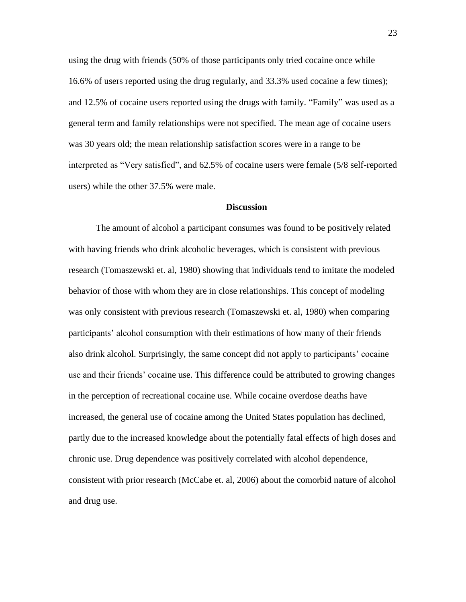using the drug with friends (50% of those participants only tried cocaine once while 16.6% of users reported using the drug regularly, and 33.3% used cocaine a few times); and 12.5% of cocaine users reported using the drugs with family. "Family" was used as a general term and family relationships were not specified. The mean age of cocaine users was 30 years old; the mean relationship satisfaction scores were in a range to be interpreted as "Very satisfied", and 62.5% of cocaine users were female (5/8 self-reported users) while the other 37.5% were male.

#### **Discussion**

The amount of alcohol a participant consumes was found to be positively related with having friends who drink alcoholic beverages, which is consistent with previous research (Tomaszewski et. al, 1980) showing that individuals tend to imitate the modeled behavior of those with whom they are in close relationships. This concept of modeling was only consistent with previous research (Tomaszewski et. al, 1980) when comparing participants' alcohol consumption with their estimations of how many of their friends also drink alcohol. Surprisingly, the same concept did not apply to participants' cocaine use and their friends' cocaine use. This difference could be attributed to growing changes in the perception of recreational cocaine use. While cocaine overdose deaths have increased, the general use of cocaine among the United States population has declined, partly due to the increased knowledge about the potentially fatal effects of high doses and chronic use. Drug dependence was positively correlated with alcohol dependence, consistent with prior research (McCabe et. al, 2006) about the comorbid nature of alcohol and drug use.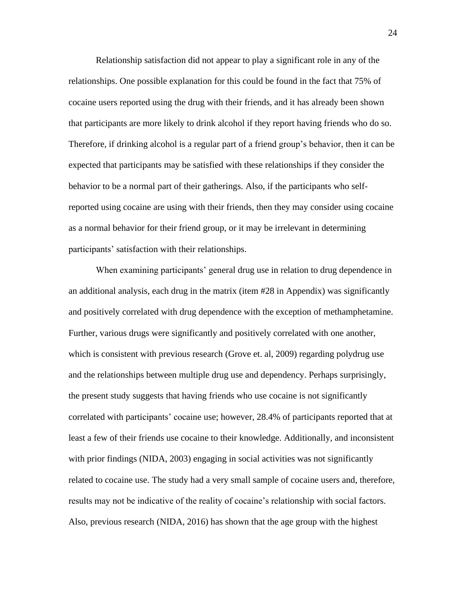Relationship satisfaction did not appear to play a significant role in any of the relationships. One possible explanation for this could be found in the fact that 75% of cocaine users reported using the drug with their friends, and it has already been shown that participants are more likely to drink alcohol if they report having friends who do so. Therefore, if drinking alcohol is a regular part of a friend group's behavior, then it can be expected that participants may be satisfied with these relationships if they consider the behavior to be a normal part of their gatherings. Also, if the participants who selfreported using cocaine are using with their friends, then they may consider using cocaine as a normal behavior for their friend group, or it may be irrelevant in determining participants' satisfaction with their relationships.

When examining participants' general drug use in relation to drug dependence in an additional analysis, each drug in the matrix (item #28 in Appendix) was significantly and positively correlated with drug dependence with the exception of methamphetamine. Further, various drugs were significantly and positively correlated with one another, which is consistent with previous research (Grove et. al, 2009) regarding polydrug use and the relationships between multiple drug use and dependency. Perhaps surprisingly, the present study suggests that having friends who use cocaine is not significantly correlated with participants' cocaine use; however, 28.4% of participants reported that at least a few of their friends use cocaine to their knowledge. Additionally, and inconsistent with prior findings (NIDA, 2003) engaging in social activities was not significantly related to cocaine use. The study had a very small sample of cocaine users and, therefore, results may not be indicative of the reality of cocaine's relationship with social factors. Also, previous research (NIDA, 2016) has shown that the age group with the highest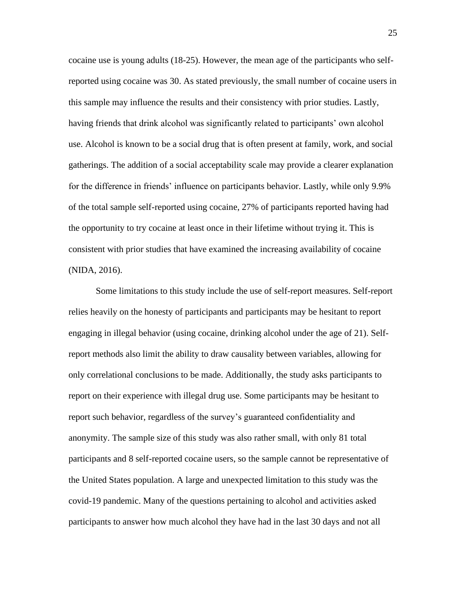cocaine use is young adults (18-25). However, the mean age of the participants who selfreported using cocaine was 30. As stated previously, the small number of cocaine users in this sample may influence the results and their consistency with prior studies. Lastly, having friends that drink alcohol was significantly related to participants' own alcohol use. Alcohol is known to be a social drug that is often present at family, work, and social gatherings. The addition of a social acceptability scale may provide a clearer explanation for the difference in friends' influence on participants behavior. Lastly, while only 9.9% of the total sample self-reported using cocaine, 27% of participants reported having had the opportunity to try cocaine at least once in their lifetime without trying it. This is consistent with prior studies that have examined the increasing availability of cocaine (NIDA, 2016).

Some limitations to this study include the use of self-report measures. Self-report relies heavily on the honesty of participants and participants may be hesitant to report engaging in illegal behavior (using cocaine, drinking alcohol under the age of 21). Selfreport methods also limit the ability to draw causality between variables, allowing for only correlational conclusions to be made. Additionally, the study asks participants to report on their experience with illegal drug use. Some participants may be hesitant to report such behavior, regardless of the survey's guaranteed confidentiality and anonymity. The sample size of this study was also rather small, with only 81 total participants and 8 self-reported cocaine users, so the sample cannot be representative of the United States population. A large and unexpected limitation to this study was the covid-19 pandemic. Many of the questions pertaining to alcohol and activities asked participants to answer how much alcohol they have had in the last 30 days and not all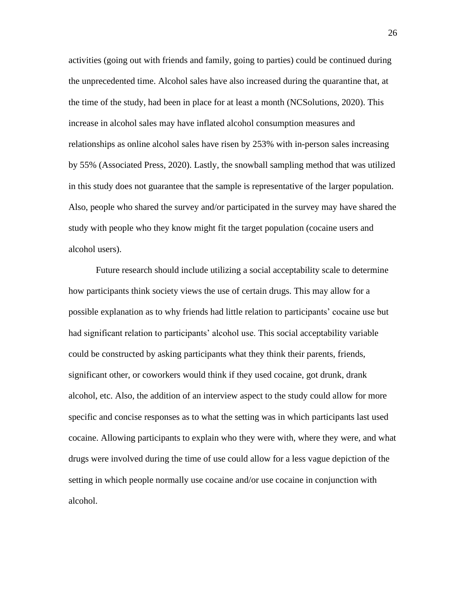activities (going out with friends and family, going to parties) could be continued during the unprecedented time. Alcohol sales have also increased during the quarantine that, at the time of the study, had been in place for at least a month (NCSolutions, 2020). This increase in alcohol sales may have inflated alcohol consumption measures and relationships as online alcohol sales have risen by 253% with in-person sales increasing by 55% (Associated Press, 2020). Lastly, the snowball sampling method that was utilized in this study does not guarantee that the sample is representative of the larger population. Also, people who shared the survey and/or participated in the survey may have shared the study with people who they know might fit the target population (cocaine users and alcohol users).

Future research should include utilizing a social acceptability scale to determine how participants think society views the use of certain drugs. This may allow for a possible explanation as to why friends had little relation to participants' cocaine use but had significant relation to participants' alcohol use. This social acceptability variable could be constructed by asking participants what they think their parents, friends, significant other, or coworkers would think if they used cocaine, got drunk, drank alcohol, etc. Also, the addition of an interview aspect to the study could allow for more specific and concise responses as to what the setting was in which participants last used cocaine. Allowing participants to explain who they were with, where they were, and what drugs were involved during the time of use could allow for a less vague depiction of the setting in which people normally use cocaine and/or use cocaine in conjunction with alcohol.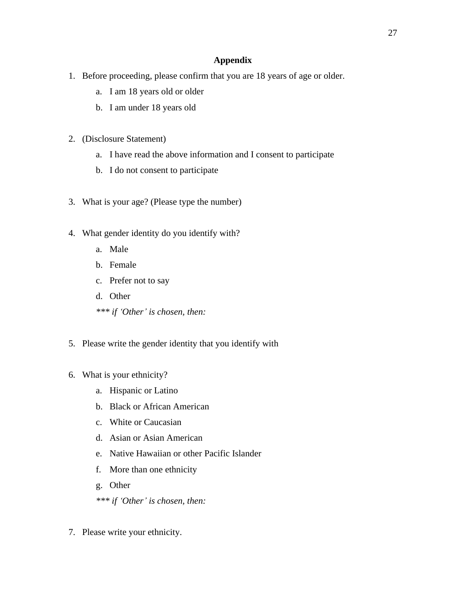#### **Appendix**

- 1. Before proceeding, please confirm that you are 18 years of age or older.
	- a. I am 18 years old or older
	- b. I am under 18 years old
- 2. (Disclosure Statement)
	- a. I have read the above information and I consent to participate
	- b. I do not consent to participate
- 3. What is your age? (Please type the number)
- 4. What gender identity do you identify with?
	- a. Male
	- b. Female
	- c. Prefer not to say
	- d. Other
	- *\*\*\* if 'Other' is chosen, then:*
- 5. Please write the gender identity that you identify with
- 6. What is your ethnicity?
	- a. Hispanic or Latino
	- b. Black or African American
	- c. White or Caucasian
	- d. Asian or Asian American
	- e. Native Hawaiian or other Pacific Islander
	- f. More than one ethnicity
	- g. Other
	- *\*\*\* if 'Other' is chosen, then:*
- 7. Please write your ethnicity.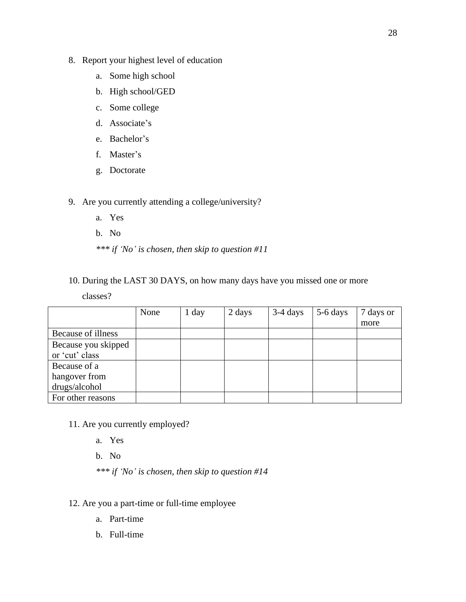- 8. Report your highest level of education
	- a. Some high school
	- b. High school/GED
	- c. Some college
	- d. Associate's
	- e. Bachelor's
	- f. Master's
	- g. Doctorate
- 9. Are you currently attending a college/university?
	- a. Yes
	- b. No
	- *\*\*\* if 'No' is chosen, then skip to question #11*
- 10. During the LAST 30 DAYS, on how many days have you missed one or more

classes?

|                     | None | $1$ day | 2 days | $3-4$ days | 5-6 days | 7 days or |
|---------------------|------|---------|--------|------------|----------|-----------|
|                     |      |         |        |            |          | more      |
| Because of illness  |      |         |        |            |          |           |
| Because you skipped |      |         |        |            |          |           |
| or 'cut' class      |      |         |        |            |          |           |
| Because of a        |      |         |        |            |          |           |
| hangover from       |      |         |        |            |          |           |
| drugs/alcohol       |      |         |        |            |          |           |
| For other reasons   |      |         |        |            |          |           |

- 11. Are you currently employed?
	- a. Yes
	- b. No
	- *\*\*\* if 'No' is chosen, then skip to question #14*
- 12. Are you a part-time or full-time employee
	- a. Part-time
	- b. Full-time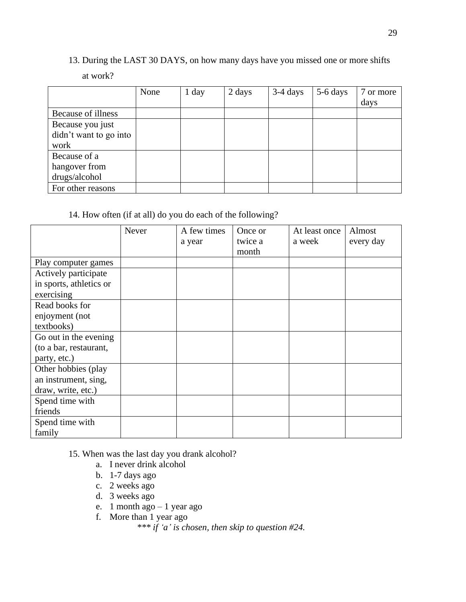# 13. During the LAST 30 DAYS, on how many days have you missed one or more shifts

## at work?

|                        | None | $1$ day | 2 days | $3-4$ days | 5-6 days | 7 or more |
|------------------------|------|---------|--------|------------|----------|-----------|
|                        |      |         |        |            |          | days      |
| Because of illness     |      |         |        |            |          |           |
| Because you just       |      |         |        |            |          |           |
| didn't want to go into |      |         |        |            |          |           |
| work                   |      |         |        |            |          |           |
| Because of a           |      |         |        |            |          |           |
| hangover from          |      |         |        |            |          |           |
| drugs/alcohol          |      |         |        |            |          |           |
| For other reasons      |      |         |        |            |          |           |

## 14. How often (if at all) do you do each of the following?

|                         | Never | A few times<br>a year | Once or<br>twice a<br>month | At least once<br>a week | Almost<br>every day |
|-------------------------|-------|-----------------------|-----------------------------|-------------------------|---------------------|
| Play computer games     |       |                       |                             |                         |                     |
| Actively participate    |       |                       |                             |                         |                     |
| in sports, athletics or |       |                       |                             |                         |                     |
| exercising              |       |                       |                             |                         |                     |
| Read books for          |       |                       |                             |                         |                     |
| enjoyment (not          |       |                       |                             |                         |                     |
| textbooks)              |       |                       |                             |                         |                     |
| Go out in the evening   |       |                       |                             |                         |                     |
| (to a bar, restaurant,  |       |                       |                             |                         |                     |
| party, etc.)            |       |                       |                             |                         |                     |
| Other hobbies (play     |       |                       |                             |                         |                     |
| an instrument, sing,    |       |                       |                             |                         |                     |
| draw, write, etc.)      |       |                       |                             |                         |                     |
| Spend time with         |       |                       |                             |                         |                     |
| friends                 |       |                       |                             |                         |                     |
| Spend time with         |       |                       |                             |                         |                     |
| family                  |       |                       |                             |                         |                     |

15. When was the last day you drank alcohol?

- a. I never drink alcohol
- b. 1-7 days ago
- c. 2 weeks ago
- d. 3 weeks ago
- e. 1 month ago 1 year ago
- f. More than 1 year ago

*\*\*\* if 'a' is chosen, then skip to question #24.*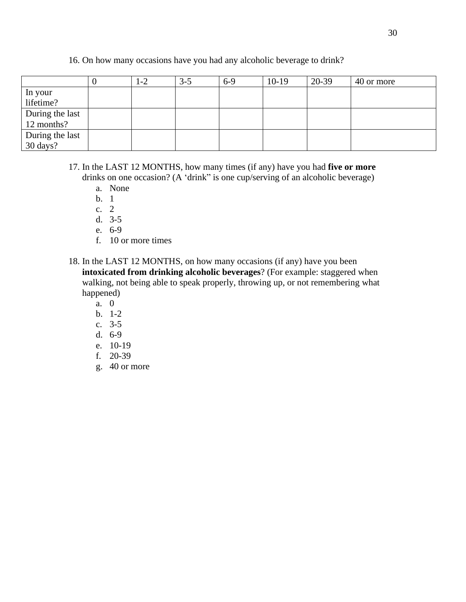## 16. On how many occasions have you had any alcoholic beverage to drink?

|                 | $-2$ | $3 - 5$ | $6-9$ | $10-19$ | 20-39 | 40 or more |
|-----------------|------|---------|-------|---------|-------|------------|
| In your         |      |         |       |         |       |            |
| lifetime?       |      |         |       |         |       |            |
| During the last |      |         |       |         |       |            |
| 12 months?      |      |         |       |         |       |            |
| During the last |      |         |       |         |       |            |
| 30 days?        |      |         |       |         |       |            |

### 17. In the LAST 12 MONTHS, how many times (if any) have you had **five or more** drinks on one occasion? (A 'drink" is one cup/serving of an alcoholic beverage)

- a. None
- b. 1
- c. 2
- d. 3-5
- e. 6-9
- f. 10 or more times
- 18. In the LAST 12 MONTHS, on how many occasions (if any) have you been **intoxicated from drinking alcoholic beverages**? (For example: staggered when walking, not being able to speak properly, throwing up, or not remembering what happened)
	- a. 0
	- b. 1-2
	- c. 3-5
	- d. 6-9
	- e. 10-19
	- f. 20-39
	- g. 40 or more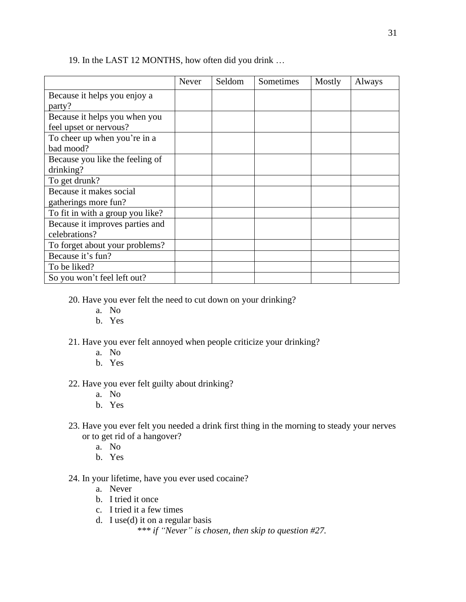|                                  | Never | Seldom | Sometimes | Mostly | Always |
|----------------------------------|-------|--------|-----------|--------|--------|
| Because it helps you enjoy a     |       |        |           |        |        |
| party?                           |       |        |           |        |        |
| Because it helps you when you    |       |        |           |        |        |
| feel upset or nervous?           |       |        |           |        |        |
| To cheer up when you're in a     |       |        |           |        |        |
| bad mood?                        |       |        |           |        |        |
| Because you like the feeling of  |       |        |           |        |        |
| drinking?                        |       |        |           |        |        |
| To get drunk?                    |       |        |           |        |        |
| Because it makes social          |       |        |           |        |        |
| gatherings more fun?             |       |        |           |        |        |
| To fit in with a group you like? |       |        |           |        |        |
| Because it improves parties and  |       |        |           |        |        |
| celebrations?                    |       |        |           |        |        |
| To forget about your problems?   |       |        |           |        |        |
| Because it's fun?                |       |        |           |        |        |
| To be liked?                     |       |        |           |        |        |
| So you won't feel left out?      |       |        |           |        |        |

### 19. In the LAST 12 MONTHS, how often did you drink …

20. Have you ever felt the need to cut down on your drinking?

- a. No
- b. Yes
- 21. Have you ever felt annoyed when people criticize your drinking?
	- a. No
	- b. Yes
- 22. Have you ever felt guilty about drinking?
	- a. No
	- b. Yes
- 23. Have you ever felt you needed a drink first thing in the morning to steady your nerves or to get rid of a hangover?
	- a. No
	- b. Yes

## 24. In your lifetime, have you ever used cocaine?

- a. Never
- b. I tried it once
- c. I tried it a few times
- d. I use(d) it on a regular basis

*\*\*\* if "Never" is chosen, then skip to question #27.*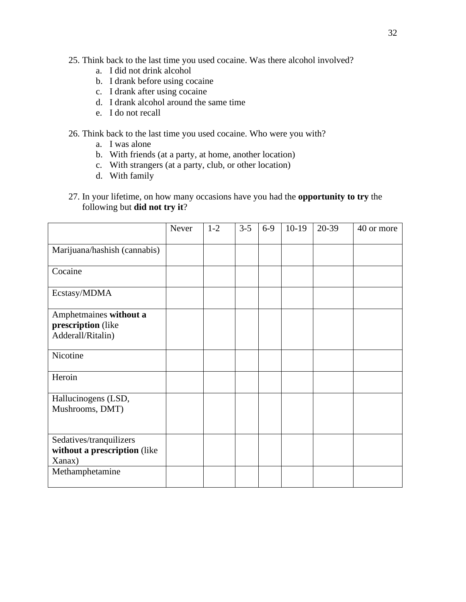- 25. Think back to the last time you used cocaine. Was there alcohol involved?
	- a. I did not drink alcohol
	- b. I drank before using cocaine
	- c. I drank after using cocaine
	- d. I drank alcohol around the same time
	- e. I do not recall
- 26. Think back to the last time you used cocaine. Who were you with?
	- a. I was alone
	- b. With friends (at a party, at home, another location)
	- c. With strangers (at a party, club, or other location)
	- d. With family
- 27. In your lifetime, on how many occasions have you had the **opportunity to try** the following but **did not try it**?

|                                                                                      | Never | $1 - 2$ | $3 - 5$ | $6-9$ | $10-19$ | 20-39 | 40 or more |
|--------------------------------------------------------------------------------------|-------|---------|---------|-------|---------|-------|------------|
| Marijuana/hashish (cannabis)                                                         |       |         |         |       |         |       |            |
| Cocaine                                                                              |       |         |         |       |         |       |            |
| Ecstasy/MDMA                                                                         |       |         |         |       |         |       |            |
| Amphetmaines without a<br>prescription (like<br>Adderall/Ritalin)                    |       |         |         |       |         |       |            |
| Nicotine                                                                             |       |         |         |       |         |       |            |
| Heroin                                                                               |       |         |         |       |         |       |            |
| Hallucinogens (LSD,<br>Mushrooms, DMT)                                               |       |         |         |       |         |       |            |
| Sedatives/tranquilizers<br>without a prescription (like<br>Xanax)<br>Methamphetamine |       |         |         |       |         |       |            |
|                                                                                      |       |         |         |       |         |       |            |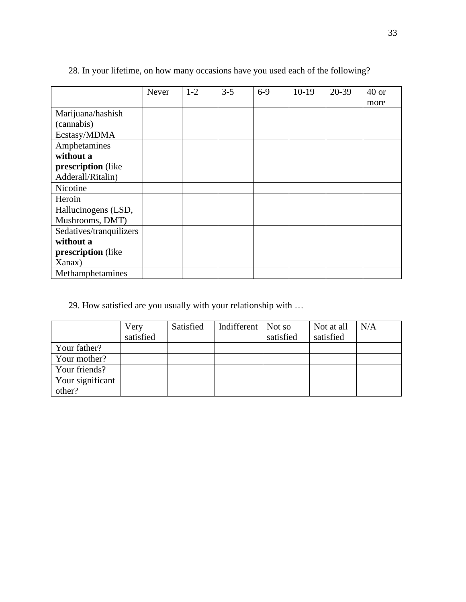|                         | <b>Never</b> | $1 - 2$ | $3 - 5$ | $6-9$ | $10-19$ | 20-39 | $40$ or |
|-------------------------|--------------|---------|---------|-------|---------|-------|---------|
|                         |              |         |         |       |         |       | more    |
| Marijuana/hashish       |              |         |         |       |         |       |         |
| (cannabis)              |              |         |         |       |         |       |         |
| Ecstasy/MDMA            |              |         |         |       |         |       |         |
| Amphetamines            |              |         |         |       |         |       |         |
| without a               |              |         |         |       |         |       |         |
| prescription (like      |              |         |         |       |         |       |         |
| Adderall/Ritalin)       |              |         |         |       |         |       |         |
| Nicotine                |              |         |         |       |         |       |         |
| Heroin                  |              |         |         |       |         |       |         |
| Hallucinogens (LSD,     |              |         |         |       |         |       |         |
| Mushrooms, DMT)         |              |         |         |       |         |       |         |
| Sedatives/tranquilizers |              |         |         |       |         |       |         |
| without a               |              |         |         |       |         |       |         |
| prescription (like      |              |         |         |       |         |       |         |
| Xanax)                  |              |         |         |       |         |       |         |
| Methamphetamines        |              |         |         |       |         |       |         |

28. In your lifetime, on how many occasions have you used each of the following?

29. How satisfied are you usually with your relationship with …

|                  | Very      | Satisfied | Indifferent   Not so |           | Not at all | N/A |
|------------------|-----------|-----------|----------------------|-----------|------------|-----|
|                  | satisfied |           |                      | satisfied | satisfied  |     |
| Your father?     |           |           |                      |           |            |     |
| Your mother?     |           |           |                      |           |            |     |
| Your friends?    |           |           |                      |           |            |     |
| Your significant |           |           |                      |           |            |     |
| other?           |           |           |                      |           |            |     |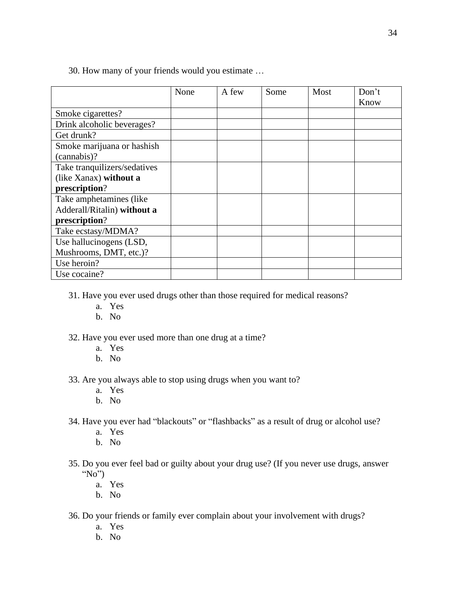|                              | None | A few | Some | Most | Don't |
|------------------------------|------|-------|------|------|-------|
|                              |      |       |      |      | Know  |
| Smoke cigarettes?            |      |       |      |      |       |
| Drink alcoholic beverages?   |      |       |      |      |       |
| Get drunk?                   |      |       |      |      |       |
| Smoke marijuana or hashish   |      |       |      |      |       |
| (cannabis)?                  |      |       |      |      |       |
| Take tranquilizers/sedatives |      |       |      |      |       |
| (like Xanax) without a       |      |       |      |      |       |
| prescription?                |      |       |      |      |       |
| Take amphetamines (like      |      |       |      |      |       |
| Adderall/Ritalin) without a  |      |       |      |      |       |
| prescription?                |      |       |      |      |       |
| Take ecstasy/MDMA?           |      |       |      |      |       |
| Use hallucinogens (LSD,      |      |       |      |      |       |
| Mushrooms, DMT, etc.)?       |      |       |      |      |       |
| Use heroin?                  |      |       |      |      |       |
| Use cocaine?                 |      |       |      |      |       |

30. How many of your friends would you estimate …

- 31. Have you ever used drugs other than those required for medical reasons?
	- a. Yes
	- b. No

#### 32. Have you ever used more than one drug at a time?

- a. Yes
- b. No
- 33. Are you always able to stop using drugs when you want to?
	- a. Yes
	- b. No
- 34. Have you ever had "blackouts" or "flashbacks" as a result of drug or alcohol use?
	- a. Yes
	- b. No
- 35. Do you ever feel bad or guilty about your drug use? (If you never use drugs, answer "No")
	- a. Yes
	- b. No
- 36. Do your friends or family ever complain about your involvement with drugs?
	- a. Yes
	- b. No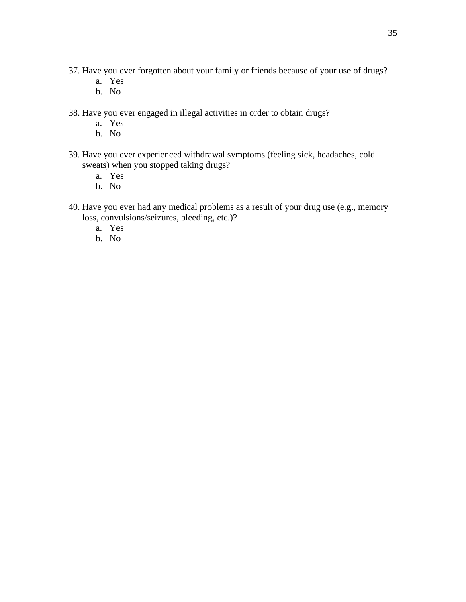- 37. Have you ever forgotten about your family or friends because of your use of drugs?
	- a. Yes
	- b. No
- 38. Have you ever engaged in illegal activities in order to obtain drugs?
	- a. Yes
	- b. No
- 39. Have you ever experienced withdrawal symptoms (feeling sick, headaches, cold sweats) when you stopped taking drugs?
	- a. Yes
	- b. No
- 40. Have you ever had any medical problems as a result of your drug use (e.g., memory loss, convulsions/seizures, bleeding, etc.)?
	- a. Yes
	- b. No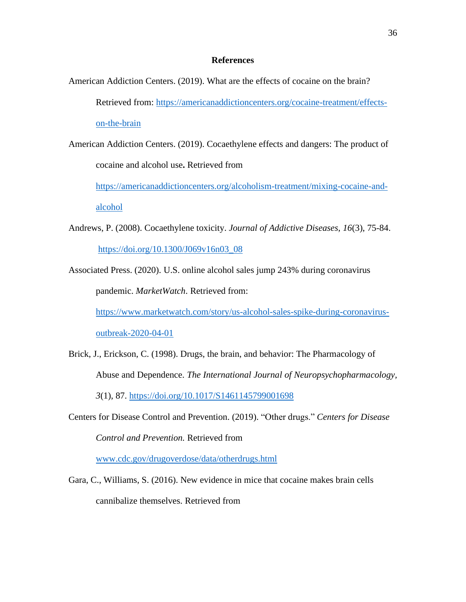#### **References**

- American Addiction Centers. (2019). What are the effects of cocaine on the brain? Retrieved from: [https://americanaddictioncenters.org/cocaine-treatment/effects](https://americanaddictioncenters.org/cocaine-treatment/effects-on-the-brain)[on-the-brain](https://americanaddictioncenters.org/cocaine-treatment/effects-on-the-brain)
- American Addiction Centers. (2019). Cocaethylene effects and dangers: The product of cocaine and alcohol use**.** Retrieved from

[https://americanaddictioncenters.org/alcoholism-treatment/mixing-cocaine-and-](https://americanaddictioncenters.org/alcoholism-treatment/mixing-cocaine-and-alcohol)

[alcohol](https://americanaddictioncenters.org/alcoholism-treatment/mixing-cocaine-and-alcohol)

- Andrews, P. (2008). Cocaethylene toxicity. *Journal of Addictive Diseases, 16*(3), 75-84. [https://doi.org/10.1300/J069v16n03\\_08](https://doi.org/10.1300/J069v16n03_08)
- Associated Press. (2020). U.S. online alcohol sales jump 243% during coronavirus pandemic. *MarketWatch*. Retrieved from: [https://www.marketwatch.com/story/us-alcohol-sales-spike-during-coronavirus](https://www.marketwatch.com/story/us-alcohol-sales-spike-during-coronavirus-outbreak-2020-04-01)[outbreak-2020-04-01](https://www.marketwatch.com/story/us-alcohol-sales-spike-during-coronavirus-outbreak-2020-04-01)
- Brick, J., Erickson, C. (1998). Drugs, the brain, and behavior: The Pharmacology of Abuse and Dependence. *The International Journal of Neuropsychopharmacology, 3*(1), 87.<https://doi.org/10.1017/S1461145799001698>
- Centers for Disease Control and Prevention. (2019). "Other drugs." *Centers for Disease Control and Prevention.* Retrieved from

[www.cdc.gov/drugoverdose/data/otherdrugs.html](http://www.cdc.gov/drugoverdose/data/otherdrugs.html)

Gara, C., Williams, S. (2016). New evidence in mice that cocaine makes brain cells cannibalize themselves. Retrieved from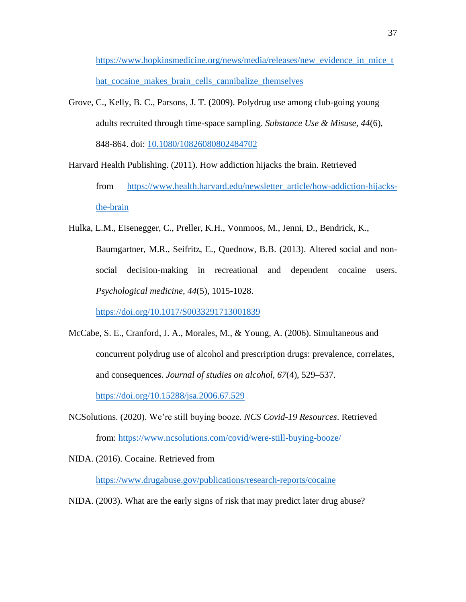[https://www.hopkinsmedicine.org/news/media/releases/new\\_evidence\\_in\\_mice\\_t](https://www.hopkinsmedicine.org/news/media/releases/new_evidence_in_mice_that_cocaine_makes_brain_cells_cannibalize_themselves) [hat\\_cocaine\\_makes\\_brain\\_cells\\_cannibalize\\_themselves](https://www.hopkinsmedicine.org/news/media/releases/new_evidence_in_mice_that_cocaine_makes_brain_cells_cannibalize_themselves)

Grove, C., Kelly, B. C., Parsons, J. T. (2009). Polydrug use among club-going young adults recruited through time-space sampling. *Substance Use & Misuse, 44*(6), 848-864. doi: [10.1080/10826080802484702](https://dx.doi.org/10.1080%2F10826080802484702)

Harvard Health Publishing. (2011). How addiction hijacks the brain. Retrieved from [https://www.health.harvard.edu/newsletter\\_article/how-addiction-hijacks](https://www.health.harvard.edu/newsletter_article/how-addiction-hijacks-the-brain)[the-brain](https://www.health.harvard.edu/newsletter_article/how-addiction-hijacks-the-brain)

Hulka, L.M., Eisenegger, C., Preller, K.H., Vonmoos, M., Jenni, D., Bendrick, K., Baumgartner, M.R., Seifritz, E., Quednow, B.B. (2013). Altered social and nonsocial decision-making in recreational and dependent cocaine users. *Psychological medicine, 44*(5), 1015-1028.

<https://doi.org/10.1017/S0033291713001839>

- McCabe, S. E., Cranford, J. A., Morales, M., & Young, A. (2006). Simultaneous and concurrent polydrug use of alcohol and prescription drugs: prevalence, correlates, and consequences. *Journal of studies on alcohol*, *67*(4), 529–537. <https://doi.org/10.15288/jsa.2006.67.529>
- NCSolutions. (2020). We're still buying booze. *NCS Covid-19 Resources*. Retrieved from:<https://www.ncsolutions.com/covid/were-still-buying-booze/>

NIDA. (2016). Cocaine. Retrieved from

<https://www.drugabuse.gov/publications/research-reports/cocaine>

NIDA. (2003). What are the early signs of risk that may predict later drug abuse?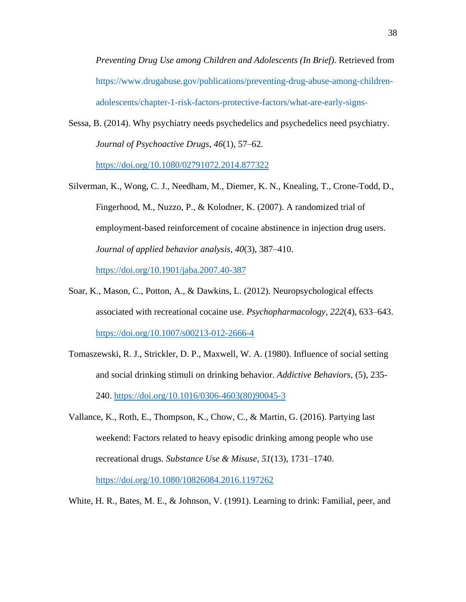*Preventing Drug Use among Children and Adolescents (In Brief)*. Retrieved from https://www.drugabuse.gov/publications/preventing-drug-abuse-among-childrenadolescents/chapter-1-risk-factors-protective-factors/what-are-early-signs-

Sessa, B. (2014). Why psychiatry needs psychedelics and psychedelics need psychiatry. *Journal of Psychoactive Drugs*, *46*(1), 57–62.

<https://doi.org/10.1080/02791072.2014.877322>

- Silverman, K., Wong, C. J., Needham, M., Diemer, K. N., Knealing, T., Crone-Todd, D., Fingerhood, M., Nuzzo, P., & Kolodner, K. (2007). A randomized trial of employment-based reinforcement of cocaine abstinence in injection drug users. *Journal of applied behavior analysis*, *40*(3), 387–410. <https://doi.org/10.1901/jaba.2007.40-387>
- Soar, K., Mason, C., Potton, A., & Dawkins, L. (2012). Neuropsychological effects associated with recreational cocaine use. *Psychopharmacology*, *222*(4), 633–643. <https://doi.org/10.1007/s00213-012-2666-4>
- Tomaszewski, R. J., Strickler, D. P., Maxwell, W. A. (1980). Influence of social setting and social drinking stimuli on drinking behavior. *Addictive Behaviors,* (5), 235- 240. [https://doi.org/10.1016/0306-4603\(80\)90045-3](https://doi.org/10.1016/0306-4603(80)90045-3)
- Vallance, K., Roth, E., Thompson, K., Chow, C., & Martin, G. (2016). Partying last weekend: Factors related to heavy episodic drinking among people who use recreational drugs. *Substance Use & Misuse*, *51*(13), 1731–1740. <https://doi.org/10.1080/10826084.2016.1197262>
- White, H. R., Bates, M. E., & Johnson, V. (1991). Learning to drink: Familial, peer, and